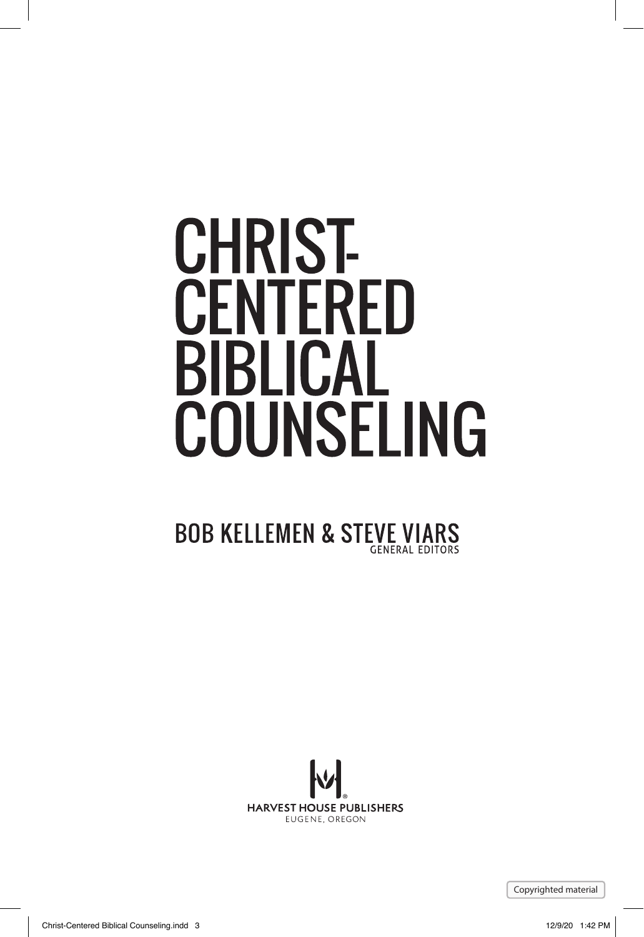# **CHRIST-CENTERED BIBLICAL COUNSELING**

## **BOB KELLEMEN & STEVE VIARS GENERAL EDITORS**



Copyrighted material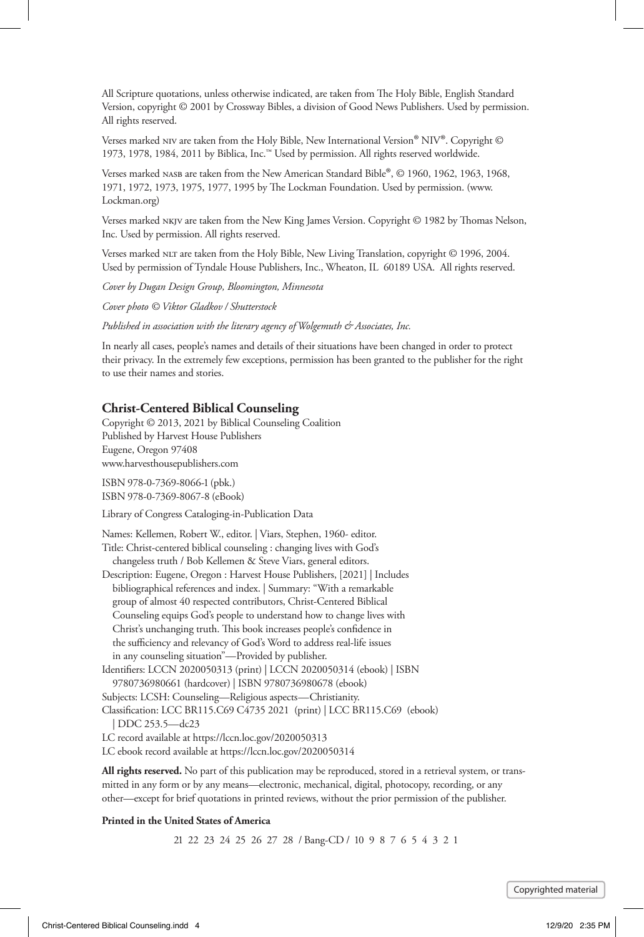All Scripture quotations, unless otherwise indicated, are taken from The Holy Bible, English Standard Version, copyright © 2001 by Crossway Bibles, a division of Good News Publishers. Used by permission. All rights reserved.

Verses marked niv are taken from the Holy Bible, New International Version® NIV®. Copyright © 1973, 1978, 1984, 2011 by Biblica, Inc.™ Used by permission. All rights reserved worldwide.

Verses marked NASB are taken from the New American Standard Bible®, © 1960, 1962, 1963, 1968, 1971, 1972, 1973, 1975, 1977, 1995 by The Lockman Foundation. Used by permission. (www. Lockman.org)

Verses marked nkjv are taken from the New King James Version. Copyright © 1982 by Thomas Nelson, Inc. Used by permission. All rights reserved.

Verses marked NLT are taken from the Holy Bible, New Living Translation, copyright © 1996, 2004. Used by permission of Tyndale House Publishers, Inc., Wheaton, IL 60189 USA. All rights reserved.

*Cover by Dugan Design Group, Bloomington, Minnesota*

*Cover photo © Viktor Gladkov / Shutterstock*

*Published in association with the literary agency of Wolgemuth & Associates, Inc.*

In nearly all cases, people's names and details of their situations have been changed in order to protect their privacy. In the extremely few exceptions, permission has been granted to the publisher for the right to use their names and stories.

#### **Christ-Centered Biblical Counseling**

Copyright © 2013, 2021 by Biblical Counseling Coalition Published by Harvest House Publishers Eugene, Oregon 97408 www.harvesthousepublishers.com

ISBN 978-0-7369-8066-1 (pbk.) ISBN 978-0-7369-8067-8 (eBook)

Library of Congress Cataloging-in-Publication Data

Names: Kellemen, Robert W., editor. | Viars, Stephen, 1960- editor. Title: Christ-centered biblical counseling : changing lives with God's changeless truth / Bob Kellemen & Steve Viars, general editors. Description: Eugene, Oregon : Harvest House Publishers, [2021] | Includes bibliographical references and index. | Summary: "With a remarkable group of almost 40 respected contributors, Christ-Centered Biblical Counseling equips God's people to understand how to change lives with Christ's unchanging truth. This book increases people's confidence in the sufficiency and relevancy of God's Word to address real-life issues in any counseling situation"—Provided by publisher. Identifiers: LCCN 2020050313 (print) | LCCN 2020050314 (ebook) | ISBN 9780736980661 (hardcover) | ISBN 9780736980678 (ebook) Subjects: LCSH: Counseling-Religious aspects-Christianity. Classification: LCC BR115.C69 C4735 2021 (print) | LCC BR115.C69 (ebook) | DDC 253.5— dc23 LC record available at https://lccn.loc.gov/2020050313

LC ebook record available at https://lccn.loc.gov/2020050314

**All rights reserved.** No part of this publication may be reproduced, stored in a retrieval system, or transmitted in any form or by any means—electronic, mechanical, digital, photocopy, recording, or any other—except for brief quotations in printed reviews, without the prior permission of the publisher.

#### **Printed in the United States of America**

21 22 23 24 25 26 27 28 / Bang-CD / 10 9 8 7 6 5 4 3 2 1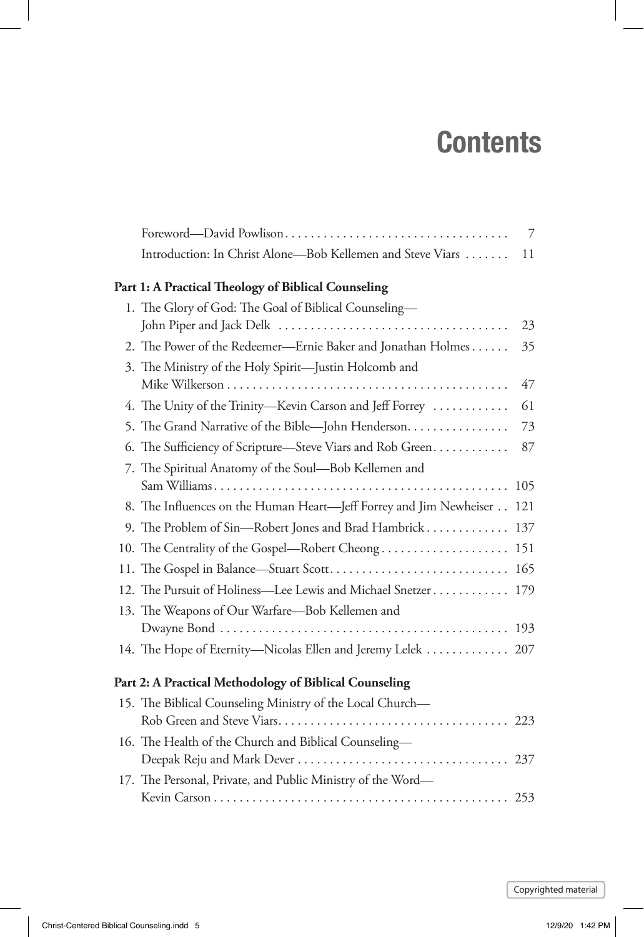# **Contents**

| Foreword-David Powlison                                            | 7   |
|--------------------------------------------------------------------|-----|
| Introduction: In Christ Alone-Bob Kellemen and Steve Viars         | 11  |
| Part 1: A Practical Theology of Biblical Counseling                |     |
| 1. The Glory of God: The Goal of Biblical Counseling-              |     |
|                                                                    | 23  |
| 2. The Power of the Redeemer-Ernie Baker and Jonathan Holmes       | 35  |
| 3. The Ministry of the Holy Spirit-Justin Holcomb and              |     |
|                                                                    | 47  |
| 4. The Unity of the Trinity—Kevin Carson and Jeff Forrey           | 61  |
| 5. The Grand Narrative of the Bible-John Henderson                 | 73  |
| 6. The Sufficiency of Scripture—Steve Viars and Rob Green          | 87  |
| 7. The Spiritual Anatomy of the Soul-Bob Kellemen and              |     |
|                                                                    | 105 |
| 8. The Influences on the Human Heart-Jeff Forrey and Jim Newheiser | 121 |
| 9. The Problem of Sin—Robert Jones and Brad Hambrick               | 137 |
| 10. The Centrality of the Gospel—Robert Cheong                     | 151 |
| 11. The Gospel in Balance—Stuart Scott                             | 165 |
| 12. The Pursuit of Holiness—Lee Lewis and Michael Snetzer 179      |     |
| 13. The Weapons of Our Warfare-Bob Kellemen and                    |     |
|                                                                    |     |
| 14. The Hope of Eternity—Nicolas Ellen and Jeremy Lelek  207       |     |
| Part 2: A Practical Methodology of Biblical Counseling             |     |
| 15. The Biblical Counseling Ministry of the Local Church-          |     |
|                                                                    |     |
| 16. The Health of the Church and Biblical Counseling-              |     |
|                                                                    |     |
| 17. The Personal, Private, and Public Ministry of the Word-        |     |
|                                                                    |     |
|                                                                    |     |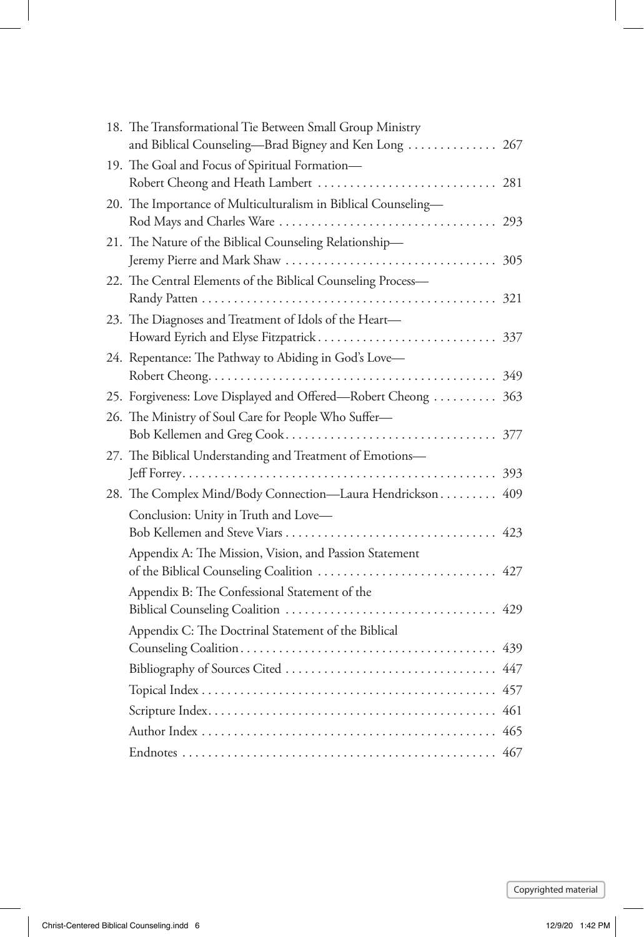| 18. The Transformational Tie Between Small Group Ministry<br>and Biblical Counseling-Brad Bigney and Ken Long  267 |     |
|--------------------------------------------------------------------------------------------------------------------|-----|
| 19. The Goal and Focus of Spiritual Formation-                                                                     |     |
|                                                                                                                    |     |
| 20. The Importance of Multiculturalism in Biblical Counseling-                                                     |     |
|                                                                                                                    | 293 |
| 21. The Nature of the Biblical Counseling Relationship-                                                            |     |
|                                                                                                                    |     |
| 22. The Central Elements of the Biblical Counseling Process-                                                       |     |
|                                                                                                                    |     |
| 23. The Diagnoses and Treatment of Idols of the Heart-                                                             |     |
|                                                                                                                    |     |
| 24. Repentance: The Pathway to Abiding in God's Love-                                                              |     |
|                                                                                                                    |     |
| 25. Forgiveness: Love Displayed and Offered—Robert Cheong  363                                                     |     |
| 26. The Ministry of Soul Care for People Who Suffer-                                                               |     |
|                                                                                                                    |     |
| 27. The Biblical Understanding and Treatment of Emotions-                                                          |     |
|                                                                                                                    |     |
| 28. The Complex Mind/Body Connection-Laura Hendrickson 409                                                         |     |
| Conclusion: Unity in Truth and Love-                                                                               |     |
|                                                                                                                    |     |
| Appendix A: The Mission, Vision, and Passion Statement                                                             |     |
|                                                                                                                    |     |
| Appendix B: The Confessional Statement of the                                                                      |     |
|                                                                                                                    |     |
| Appendix C: The Doctrinal Statement of the Biblical                                                                |     |
|                                                                                                                    |     |
|                                                                                                                    |     |
|                                                                                                                    |     |
|                                                                                                                    |     |
|                                                                                                                    |     |
|                                                                                                                    |     |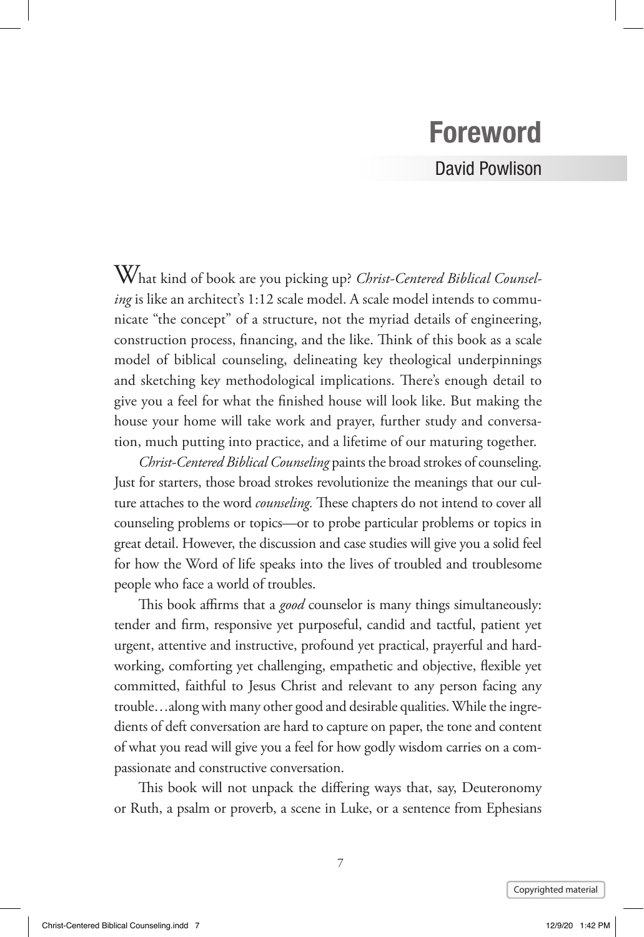# Foreword David Powlison

What kind of book are you picking up? *Christ-Centered Biblical Counseling* is like an architect's 1:12 scale model. A scale model intends to communicate "the concept" of a structure, not the myriad details of engineering, construction process, financing, and the like. Think of this book as a scale model of biblical counseling, delineating key theological underpinnings and sketching key methodological implications. There's enough detail to give you a feel for what the finished house will look like. But making the house your home will take work and prayer, further study and conversation, much putting into practice, and a lifetime of our maturing together.

*Christ-Centered Biblical Counseling* paints the broad strokes of counseling. Just for starters, those broad strokes revolutionize the meanings that our culture attaches to the word *counseling.* These chapters do not intend to cover all counseling problems or topics—or to probe particular problems or topics in great detail. However, the discussion and case studies will give you a solid feel for how the Word of life speaks into the lives of troubled and troublesome people who face a world of troubles.

This book affirms that a *good* counselor is many things simultaneously: tender and firm, responsive yet purposeful, candid and tactful, patient yet urgent, attentive and instructive, profound yet practical, prayerful and hardworking, comforting yet challenging, empathetic and objective, flexible yet committed, faithful to Jesus Christ and relevant to any person facing any trouble…along with many other good and desirable qualities. While the ingredients of deft conversation are hard to capture on paper, the tone and content of what you read will give you a feel for how godly wisdom carries on a compassionate and constructive conversation.

This book will not unpack the differing ways that, say, Deuteronomy or Ruth, a psalm or proverb, a scene in Luke, or a sentence from Ephesians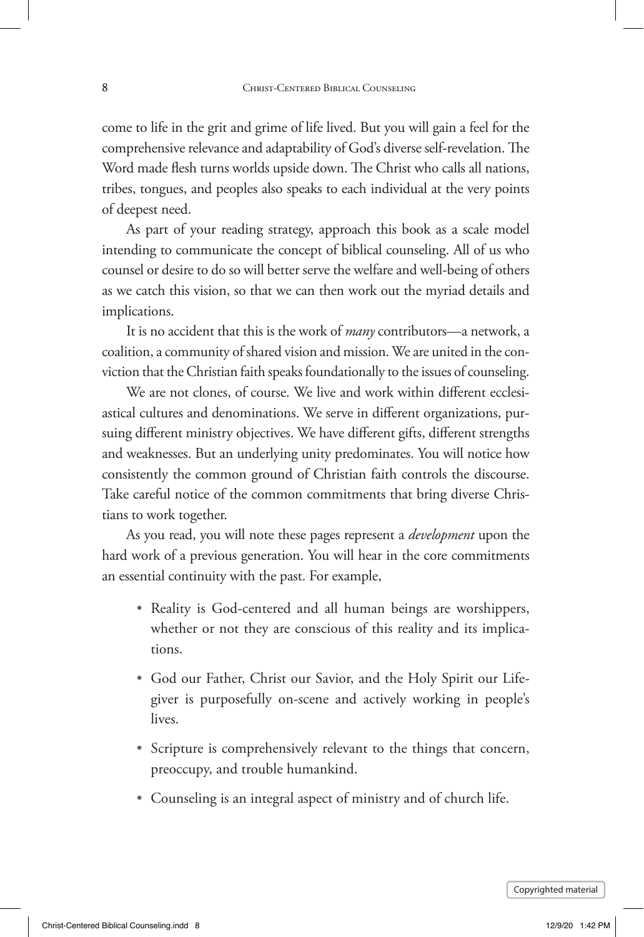come to life in the grit and grime of life lived. But you will gain a feel for the comprehensive relevance and adaptability of God's diverse self-revelation. The Word made flesh turns worlds upside down. The Christ who calls all nations, tribes, tongues, and peoples also speaks to each individual at the very points of deepest need.

As part of your reading strategy, approach this book as a scale model intending to communicate the concept of biblical counseling. All of us who counsel or desire to do so will better serve the welfare and well-being of others as we catch this vision, so that we can then work out the myriad details and implications.

It is no accident that this is the work of *many* contributors—a network, a coalition, a community of shared vision and mission. We are united in the conviction that the Christian faith speaks foundationally to the issues of counseling.

We are not clones, of course. We live and work within different ecclesiastical cultures and denominations. We serve in different organizations, pursuing different ministry objectives. We have different gifts, different strengths and weaknesses. But an underlying unity predominates. You will notice how consistently the common ground of Christian faith controls the discourse. Take careful notice of the common commitments that bring diverse Christians to work together.

As you read, you will note these pages represent a *development* upon the hard work of a previous generation. You will hear in the core commitments an essential continuity with the past. For example,

- Reality is God-centered and all human beings are worshippers, whether or not they are conscious of this reality and its implications.
- God our Father, Christ our Savior, and the Holy Spirit our Lifegiver is purposefully on-scene and actively working in people's lives.
- Scripture is comprehensively relevant to the things that concern, preoccupy, and trouble humankind.
- Counseling is an integral aspect of ministry and of church life.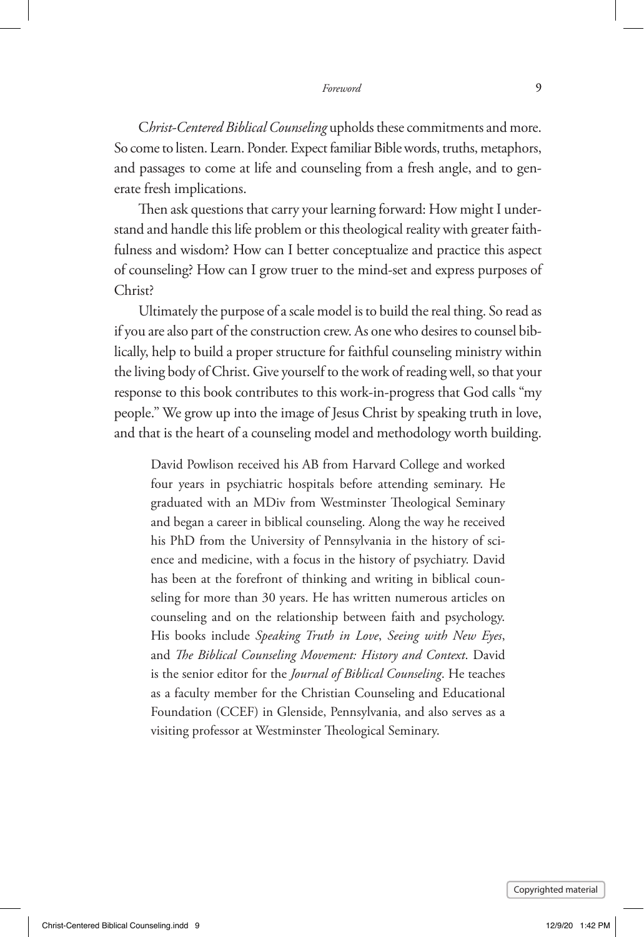#### *Foreword* 9

C*hrist-Centered Biblical Counseling* upholds these commitments and more. So come to listen. Learn. Ponder. Expect familiar Bible words, truths, metaphors, and passages to come at life and counseling from a fresh angle, and to generate fresh implications.

Then ask questions that carry your learning forward: How might I understand and handle this life problem or this theological reality with greater faithfulness and wisdom? How can I better conceptualize and practice this aspect of counseling? How can I grow truer to the mind-set and express purposes of Christ?

Ultimately the purpose of a scale model is to build the real thing. So read as if you are also part of the construction crew. As one who desires to counsel biblically, help to build a proper structure for faithful counseling ministry within the living body of Christ. Give yourself to the work of reading well, so that your response to this book contributes to this work-in-progress that God calls "my people." We grow up into the image of Jesus Christ by speaking truth in love, and that is the heart of a counseling model and methodology worth building.

David Powlison received his AB from Harvard College and worked four years in psychiatric hospitals before attending seminary. He graduated with an MDiv from Westminster Theological Seminary and began a career in biblical counseling. Along the way he received his PhD from the University of Pennsylvania in the history of science and medicine, with a focus in the history of psychiatry. David has been at the forefront of thinking and writing in biblical counseling for more than 30 years. He has written numerous articles on counseling and on the relationship between faith and psychology. His books include *Speaking Truth in Love*, *Seeing with New Eyes*, and *The Biblical Counseling Movement: History and Context*. David is the senior editor for the *Journal of Biblical Counseling*. He teaches as a faculty member for the Christian Counseling and Educational Foundation (CCEF) in Glenside, Pennsylvania, and also serves as a visiting professor at Westminster Theological Seminary.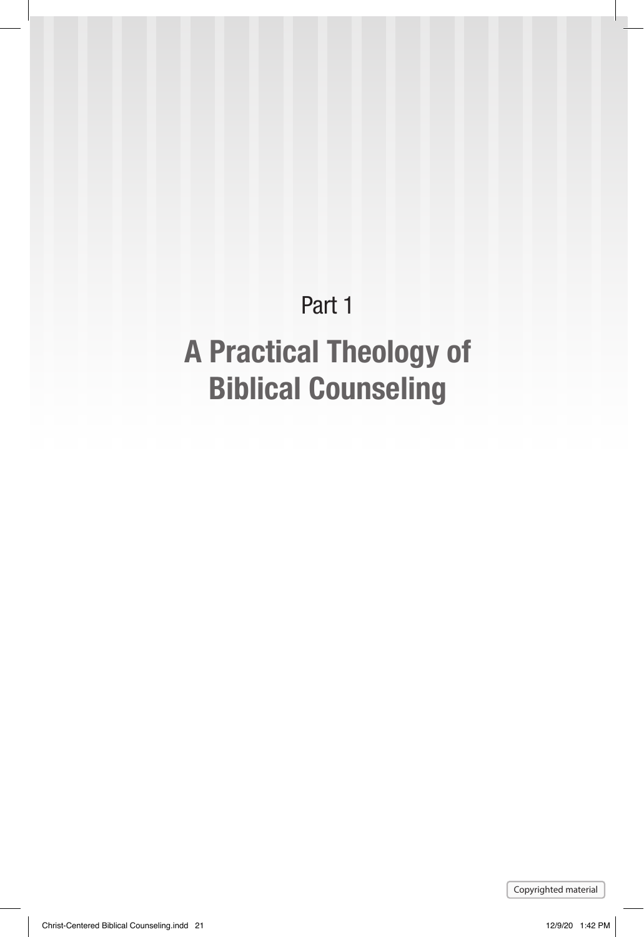# Part 1

# A Practical Theology of Biblical Counseling

Copyrighted material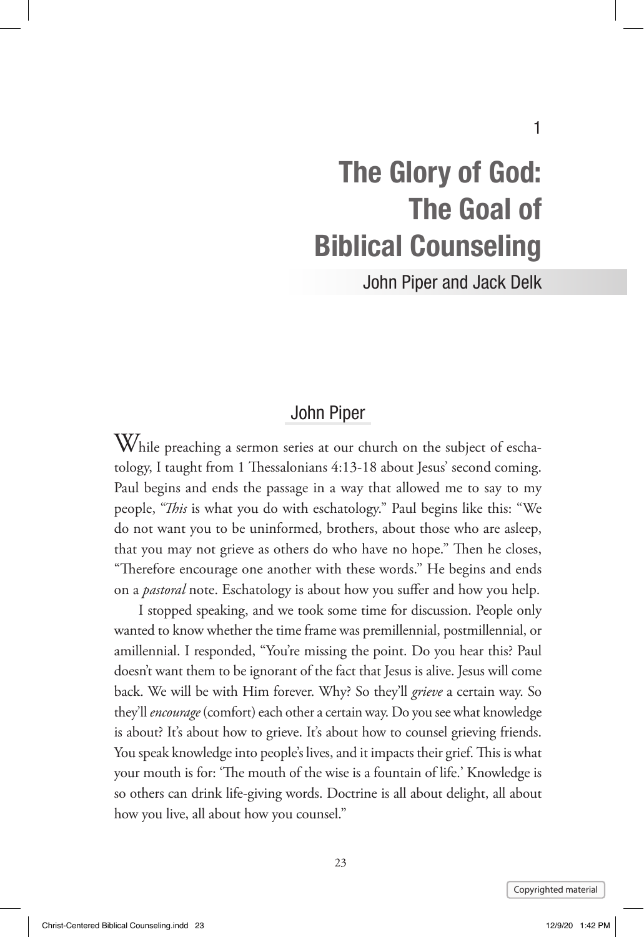# The Glory of God: The Goal of Biblical Counseling

John Piper and Jack Delk

## John Piper

While preaching a sermon series at our church on the subject of eschatology, I taught from 1 Thessalonians 4:13-18 about Jesus' second coming. Paul begins and ends the passage in a way that allowed me to say to my people, "*This* is what you do with eschatology." Paul begins like this: "We do not want you to be uninformed, brothers, about those who are asleep, that you may not grieve as others do who have no hope." Then he closes, "Therefore encourage one another with these words." He begins and ends on a *pastoral* note. Eschatology is about how you suffer and how you help.

I stopped speaking, and we took some time for discussion. People only wanted to know whether the time frame was premillennial, postmillennial, or amillennial. I responded, "You're missing the point. Do you hear this? Paul doesn't want them to be ignorant of the fact that Jesus is alive. Jesus will come back. We will be with Him forever. Why? So they'll *grieve* a certain way. So they'll *encourage* (comfort) each other a certain way. Do you see what knowledge is about? It's about how to grieve. It's about how to counsel grieving friends. You speak knowledge into people's lives, and it impacts their grief. This is what your mouth is for: 'The mouth of the wise is a fountain of life.' Knowledge is so others can drink life-giving words. Doctrine is all about delight, all about how you live, all about how you counsel."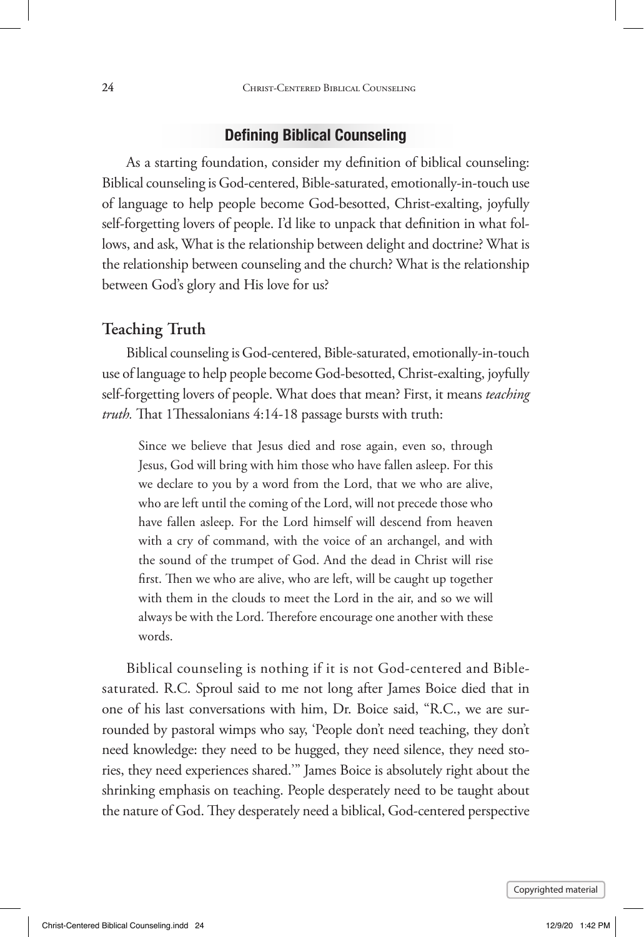### Defining Biblical Counseling

As a starting foundation, consider my definition of biblical counseling: Biblical counseling is God-centered, Bible-saturated, emotionally-in-touch use of language to help people become God-besotted, Christ-exalting, joyfully self-forgetting lovers of people. I'd like to unpack that definition in what follows, and ask, What is the relationship between delight and doctrine? What is the relationship between counseling and the church? What is the relationship between God's glory and His love for us?

### **Teaching Truth**

Biblical counseling is God-centered, Bible-saturated, emotionally-in-touch use of language to help people become God-besotted, Christ-exalting, joyfully self-forgetting lovers of people. What does that mean? First, it means *teaching truth.* That 1Thessalonians 4:14-18 passage bursts with truth:

Since we believe that Jesus died and rose again, even so, through Jesus, God will bring with him those who have fallen asleep. For this we declare to you by a word from the Lord, that we who are alive, who are left until the coming of the Lord, will not precede those who have fallen asleep. For the Lord himself will descend from heaven with a cry of command, with the voice of an archangel, and with the sound of the trumpet of God. And the dead in Christ will rise first. Then we who are alive, who are left, will be caught up together with them in the clouds to meet the Lord in the air, and so we will always be with the Lord. Therefore encourage one another with these words.

Biblical counseling is nothing if it is not God-centered and Biblesaturated. R.C. Sproul said to me not long after James Boice died that in one of his last conversations with him, Dr. Boice said, "R.C., we are surrounded by pastoral wimps who say, 'People don't need teaching, they don't need knowledge: they need to be hugged, they need silence, they need stories, they need experiences shared.'" James Boice is absolutely right about the shrinking emphasis on teaching. People desperately need to be taught about the nature of God. They desperately need a biblical, God-centered perspective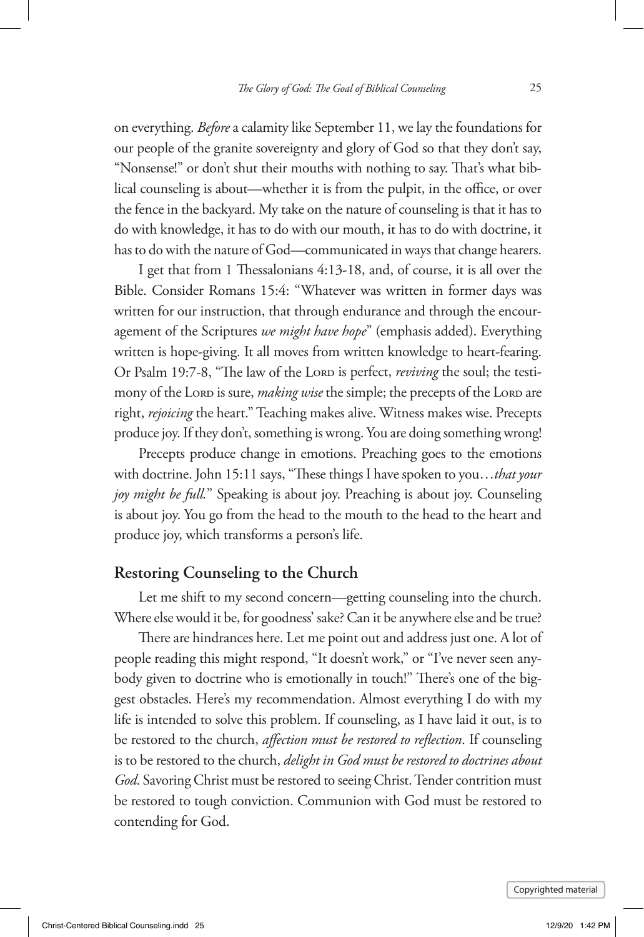on everything. *Before* a calamity like September 11, we lay the foundations for our people of the granite sovereignty and glory of God so that they don't say, "Nonsense!" or don't shut their mouths with nothing to say. That's what biblical counseling is about—whether it is from the pulpit, in the office, or over the fence in the backyard. My take on the nature of counseling is that it has to do with knowledge, it has to do with our mouth, it has to do with doctrine, it has to do with the nature of God—communicated in ways that change hearers.

I get that from 1 Thessalonians 4:13-18, and, of course, it is all over the Bible. Consider Romans 15:4: "Whatever was written in former days was written for our instruction, that through endurance and through the encouragement of the Scriptures *we might have hope*" (emphasis added). Everything written is hope-giving. It all moves from written knowledge to heart-fearing. Or Psalm 19:7-8, "The law of the Loro is perfect, *reviving* the soul; the testimony of the Loro is sure, *making wise* the simple; the precepts of the Loro are right, *rejoicing* the heart." Teaching makes alive. Witness makes wise. Precepts produce joy. If they don't, something is wrong. You are doing something wrong!

Precepts produce change in emotions. Preaching goes to the emotions with doctrine. John 15:11 says, "These things I have spoken to you…*that your joy might be full.*" Speaking is about joy. Preaching is about joy. Counseling is about joy. You go from the head to the mouth to the head to the heart and produce joy, which transforms a person's life.

#### **Restoring Counseling to the Church**

Let me shift to my second concern—getting counseling into the church. Where else would it be, for goodness' sake? Can it be anywhere else and be true?

There are hindrances here. Let me point out and address just one. A lot of people reading this might respond, "It doesn't work," or "I've never seen anybody given to doctrine who is emotionally in touch!" There's one of the biggest obstacles. Here's my recommendation. Almost everything I do with my life is intended to solve this problem. If counseling, as I have laid it out, is to be restored to the church, *affection must be restored to reflection*. If counseling is to be restored to the church, *delight in God must be restored to doctrines about God*. Savoring Christ must be restored to seeing Christ. Tender contrition must be restored to tough conviction. Communion with God must be restored to contending for God.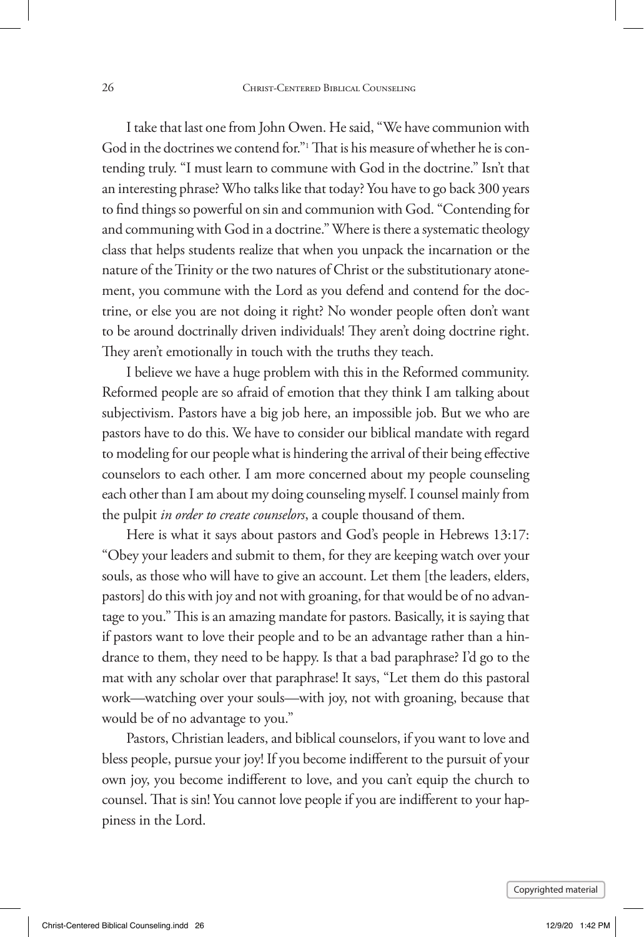I take that last one from John Owen. He said, "We have communion with God in the doctrines we contend for."1 That is his measure of whether he is contending truly. "I must learn to commune with God in the doctrine." Isn't that an interesting phrase? Who talks like that today? You have to go back 300 years to find things so powerful on sin and communion with God. "Contending for and communing with God in a doctrine." Where is there a systematic theology class that helps students realize that when you unpack the incarnation or the nature of the Trinity or the two natures of Christ or the substitutionary atonement, you commune with the Lord as you defend and contend for the doctrine, or else you are not doing it right? No wonder people often don't want to be around doctrinally driven individuals! They aren't doing doctrine right. They aren't emotionally in touch with the truths they teach.

I believe we have a huge problem with this in the Reformed community. Reformed people are so afraid of emotion that they think I am talking about subjectivism. Pastors have a big job here, an impossible job. But we who are pastors have to do this. We have to consider our biblical mandate with regard to modeling for our people what is hindering the arrival of their being effective counselors to each other. I am more concerned about my people counseling each other than I am about my doing counseling myself. I counsel mainly from the pulpit *in order to create counselors*, a couple thousand of them.

Here is what it says about pastors and God's people in Hebrews 13:17: "Obey your leaders and submit to them, for they are keeping watch over your souls, as those who will have to give an account. Let them [the leaders, elders, pastors] do this with joy and not with groaning, for that would be of no advantage to you." This is an amazing mandate for pastors. Basically, it is saying that if pastors want to love their people and to be an advantage rather than a hindrance to them, they need to be happy. Is that a bad paraphrase? I'd go to the mat with any scholar over that paraphrase! It says, "Let them do this pastoral work—watching over your souls—with joy, not with groaning, because that would be of no advantage to you."

Pastors, Christian leaders, and biblical counselors, if you want to love and bless people, pursue your joy! If you become indifferent to the pursuit of your own joy, you become indifferent to love, and you can't equip the church to counsel. That is sin! You cannot love people if you are indifferent to your happiness in the Lord.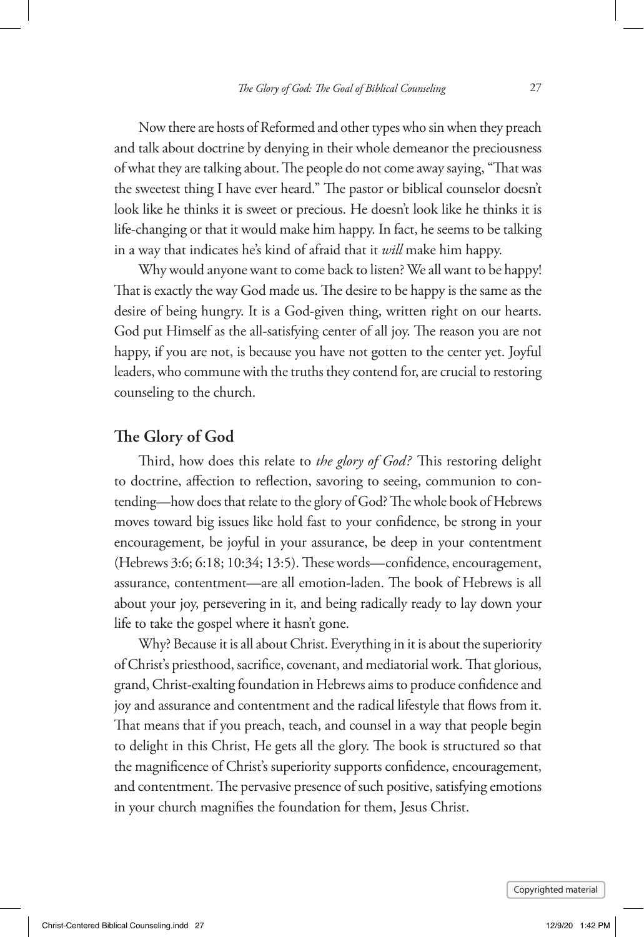Now there are hosts of Reformed and other types who sin when they preach and talk about doctrine by denying in their whole demeanor the preciousness of what they are talking about. The people do not come away saying, "That was the sweetest thing I have ever heard." The pastor or biblical counselor doesn't look like he thinks it is sweet or precious. He doesn't look like he thinks it is life-changing or that it would make him happy. In fact, he seems to be talking in a way that indicates he's kind of afraid that it *will* make him happy.

Why would anyone want to come back to listen? We all want to be happy! That is exactly the way God made us. The desire to be happy is the same as the desire of being hungry. It is a God-given thing, written right on our hearts. God put Himself as the all-satisfying center of all joy. The reason you are not happy, if you are not, is because you have not gotten to the center yet. Joyful leaders, who commune with the truths they contend for, are crucial to restoring counseling to the church.

### **The Glory of God**

Third, how does this relate to *the glory of God?* This restoring delight to doctrine, affection to reflection, savoring to seeing, communion to contending—how does that relate to the glory of God? The whole book of Hebrews moves toward big issues like hold fast to your confidence, be strong in your encouragement, be joyful in your assurance, be deep in your contentment (Hebrews 3:6; 6:18; 10:34; 13:5). These words—confidence, encouragement, assurance, contentment—are all emotion-laden. The book of Hebrews is all about your joy, persevering in it, and being radically ready to lay down your life to take the gospel where it hasn't gone.

Why? Because it is all about Christ. Everything in it is about the superiority of Christ's priesthood, sacrifice, covenant, and mediatorial work. That glorious, grand, Christ-exalting foundation in Hebrews aims to produce confidence and joy and assurance and contentment and the radical lifestyle that flows from it. That means that if you preach, teach, and counsel in a way that people begin to delight in this Christ, He gets all the glory. The book is structured so that the magnificence of Christ's superiority supports confidence, encouragement, and contentment. The pervasive presence of such positive, satisfying emotions in your church magnifies the foundation for them, Jesus Christ.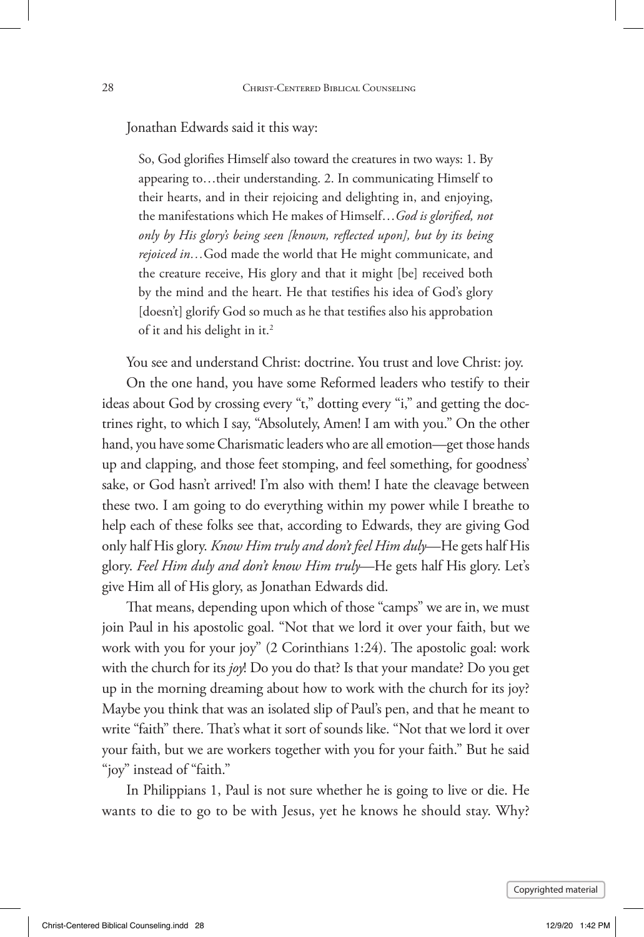Jonathan Edwards said it this way:

So, God glorifies Himself also toward the creatures in two ways: 1. By appearing to…their understanding. 2. In communicating Himself to their hearts, and in their rejoicing and delighting in, and enjoying, the manifestations which He makes of Himself…*God is glorified, not only by His glory's being seen [known, reflected upon], but by its being rejoiced in…*God made the world that He might communicate, and the creature receive, His glory and that it might [be] received both by the mind and the heart. He that testifies his idea of God's glory [doesn't] glorify God so much as he that testifies also his approbation of it and his delight in it.2

You see and understand Christ: doctrine. You trust and love Christ: joy.

On the one hand, you have some Reformed leaders who testify to their ideas about God by crossing every "t," dotting every "i," and getting the doctrines right, to which I say, "Absolutely, Amen! I am with you." On the other hand, you have some Charismatic leaders who are all emotion—get those hands up and clapping, and those feet stomping, and feel something, for goodness' sake, or God hasn't arrived! I'm also with them! I hate the cleavage between these two. I am going to do everything within my power while I breathe to help each of these folks see that, according to Edwards, they are giving God only half His glory. *Know Him truly and don't feel Him duly*—He gets half His glory. *Feel Him duly and don't know Him truly*—He gets half His glory. Let's give Him all of His glory, as Jonathan Edwards did.

That means, depending upon which of those "camps" we are in, we must join Paul in his apostolic goal. "Not that we lord it over your faith, but we work with you for your joy" (2 Corinthians 1:24). The apostolic goal: work with the church for its *joy*! Do you do that? Is that your mandate? Do you get up in the morning dreaming about how to work with the church for its joy? Maybe you think that was an isolated slip of Paul's pen, and that he meant to write "faith" there. That's what it sort of sounds like. "Not that we lord it over your faith, but we are workers together with you for your faith." But he said "joy" instead of "faith."

In Philippians 1, Paul is not sure whether he is going to live or die. He wants to die to go to be with Jesus, yet he knows he should stay. Why?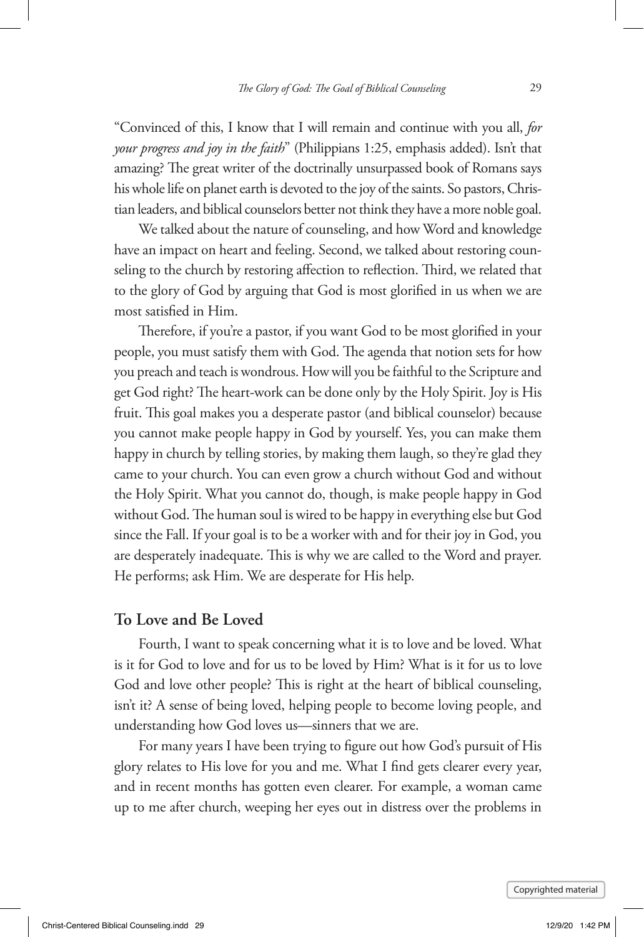"Convinced of this, I know that I will remain and continue with you all, *for your progress and joy in the faith*" (Philippians 1:25, emphasis added). Isn't that amazing? The great writer of the doctrinally unsurpassed book of Romans says his whole life on planet earth is devoted to the joy of the saints. So pastors, Christian leaders, and biblical counselors better not think they have a more noble goal.

We talked about the nature of counseling, and how Word and knowledge have an impact on heart and feeling. Second, we talked about restoring counseling to the church by restoring affection to reflection. Third, we related that to the glory of God by arguing that God is most glorified in us when we are most satisfied in Him.

Therefore, if you're a pastor, if you want God to be most glorified in your people, you must satisfy them with God. The agenda that notion sets for how you preach and teach is wondrous. How will you be faithful to the Scripture and get God right? The heart-work can be done only by the Holy Spirit. Joy is His fruit. This goal makes you a desperate pastor (and biblical counselor) because you cannot make people happy in God by yourself. Yes, you can make them happy in church by telling stories, by making them laugh, so they're glad they came to your church. You can even grow a church without God and without the Holy Spirit. What you cannot do, though, is make people happy in God without God. The human soul is wired to be happy in everything else but God since the Fall. If your goal is to be a worker with and for their joy in God, you are desperately inadequate. This is why we are called to the Word and prayer. He performs; ask Him. We are desperate for His help.

#### **To Love and Be Loved**

Fourth, I want to speak concerning what it is to love and be loved. What is it for God to love and for us to be loved by Him? What is it for us to love God and love other people? This is right at the heart of biblical counseling, isn't it? A sense of being loved, helping people to become loving people, and understanding how God loves us—sinners that we are.

For many years I have been trying to figure out how God's pursuit of His glory relates to His love for you and me. What I find gets clearer every year, and in recent months has gotten even clearer. For example, a woman came up to me after church, weeping her eyes out in distress over the problems in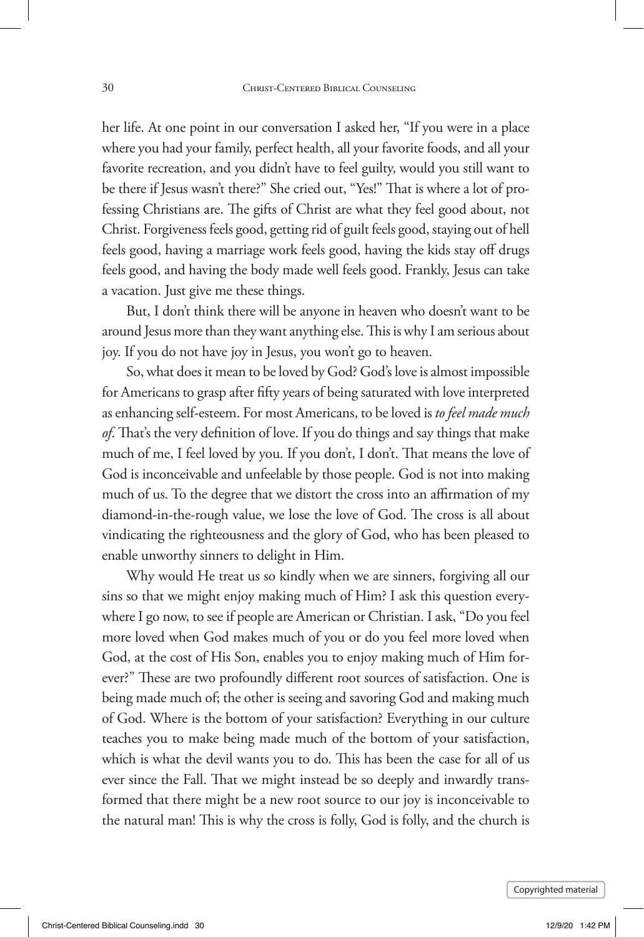her life. At one point in our conversation I asked her, "If you were in a place where you had your family, perfect health, all your favorite foods, and all your favorite recreation, and you didn't have to feel guilty, would you still want to be there if Jesus wasn't there?" She cried out, "Yes!" That is where a lot of professing Christians are. The gifts of Christ are what they feel good about, not Christ. Forgiveness feels good, getting rid of guilt feels good, staying out of hell feels good, having a marriage work feels good, having the kids stay off drugs feels good, and having the body made well feels good. Frankly, Jesus can take a vacation. Just give me these things.

But, I don't think there will be anyone in heaven who doesn't want to be around Jesus more than they want anything else. This is why I am serious about joy. If you do not have joy in Jesus, you won't go to heaven.

So, what does it mean to be loved by God? God's love is almost impossible for Americans to grasp after fifty years of being saturated with love interpreted as enhancing self-esteem. For most Americans, to be loved is *to feel made much of*. That's the very definition of love. If you do things and say things that make much of me, I feel loved by you. If you don't, I don't. That means the love of God is inconceivable and unfeelable by those people. God is not into making much of us. To the degree that we distort the cross into an affirmation of my diamond-in-the-rough value, we lose the love of God. The cross is all about vindicating the righteousness and the glory of God, who has been pleased to enable unworthy sinners to delight in Him.

Why would He treat us so kindly when we are sinners, forgiving all our sins so that we might enjoy making much of Him? I ask this question everywhere I go now, to see if people are American or Christian. I ask, "Do you feel more loved when God makes much of you or do you feel more loved when God, at the cost of His Son, enables you to enjoy making much of Him forever?" These are two profoundly different root sources of satisfaction. One is being made much of; the other is seeing and savoring God and making much of God. Where is the bottom of your satisfaction? Everything in our culture teaches you to make being made much of the bottom of your satisfaction, which is what the devil wants you to do. This has been the case for all of us ever since the Fall. That we might instead be so deeply and inwardly transformed that there might be a new root source to our joy is inconceivable to the natural man! This is why the cross is folly, God is folly, and the church is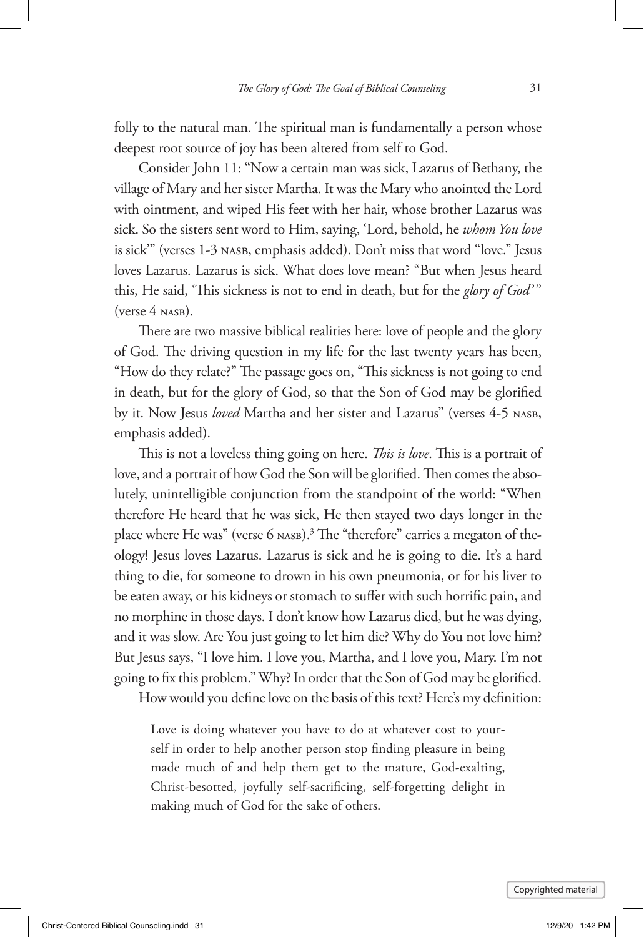folly to the natural man. The spiritual man is fundamentally a person whose deepest root source of joy has been altered from self to God.

Consider John 11: "Now a certain man was sick, Lazarus of Bethany, the village of Mary and her sister Martha. It was the Mary who anointed the Lord with ointment, and wiped His feet with her hair, whose brother Lazarus was sick. So the sisters sent word to Him, saying, 'Lord, behold, he *whom You love*  is sick" (verses 1-3 NASB, emphasis added). Don't miss that word "love." Jesus loves Lazarus. Lazarus is sick. What does love mean? "But when Jesus heard this, He said, 'This sickness is not to end in death, but for the *glory of God* '"  $(verse 4$   $NASB)$ .

There are two massive biblical realities here: love of people and the glory of God. The driving question in my life for the last twenty years has been, "How do they relate?" The passage goes on, "This sickness is not going to end in death, but for the glory of God, so that the Son of God may be glorified by it. Now Jesus *loved* Martha and her sister and Lazarus" (verses 4-5 nasb, emphasis added).

This is not a loveless thing going on here. *This is love*. This is a portrait of love, and a portrait of how God the Son will be glorified. Then comes the absolutely, unintelligible conjunction from the standpoint of the world: "When therefore He heard that he was sick, He then stayed two days longer in the place where He was" (verse 6 NASB).<sup>3</sup> The "therefore" carries a megaton of theology! Jesus loves Lazarus. Lazarus is sick and he is going to die. It's a hard thing to die, for someone to drown in his own pneumonia, or for his liver to be eaten away, or his kidneys or stomach to suffer with such horrific pain, and no morphine in those days. I don't know how Lazarus died, but he was dying, and it was slow. Are You just going to let him die? Why do You not love him? But Jesus says, "I love him. I love you, Martha, and I love you, Mary. I'm not going to fix this problem." Why? In order that the Son of God may be glorified.

How would you define love on the basis of this text? Here's my definition:

Love is doing whatever you have to do at whatever cost to yourself in order to help another person stop finding pleasure in being made much of and help them get to the mature, God-exalting, Christ-besotted, joyfully self-sacrificing, self-forgetting delight in making much of God for the sake of others.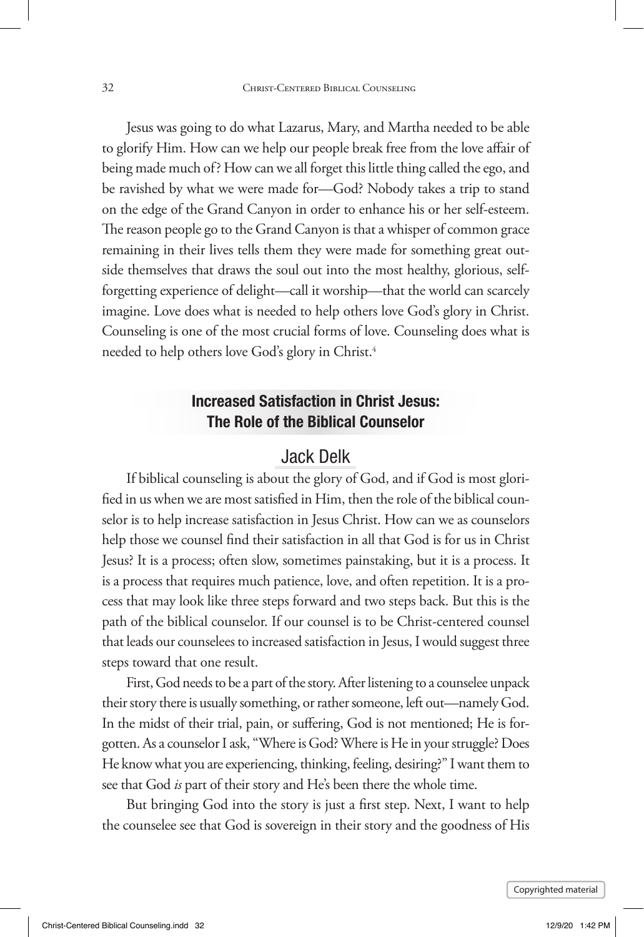Jesus was going to do what Lazarus, Mary, and Martha needed to be able to glorify Him. How can we help our people break free from the love affair of being made much of? How can we all forget this little thing called the ego, and be ravished by what we were made for—God? Nobody takes a trip to stand on the edge of the Grand Canyon in order to enhance his or her self-esteem. The reason people go to the Grand Canyon is that a whisper of common grace remaining in their lives tells them they were made for something great outside themselves that draws the soul out into the most healthy, glorious, selfforgetting experience of delight—call it worship—that the world can scarcely imagine. Love does what is needed to help others love God's glory in Christ. Counseling is one of the most crucial forms of love. Counseling does what is needed to help others love God's glory in Christ.<sup>4</sup>

### Increased Satisfaction in Christ Jesus: The Role of the Biblical Counselor

### Jack Delk

If biblical counseling is about the glory of God, and if God is most glorified in us when we are most satisfied in Him, then the role of the biblical counselor is to help increase satisfaction in Jesus Christ. How can we as counselors help those we counsel find their satisfaction in all that God is for us in Christ Jesus? It is a process; often slow, sometimes painstaking, but it is a process. It is a process that requires much patience, love, and often repetition. It is a process that may look like three steps forward and two steps back. But this is the path of the biblical counselor. If our counsel is to be Christ-centered counsel that leads our counselees to increased satisfaction in Jesus, I would suggest three steps toward that one result.

First, God needs to be a part of the story. After listening to a counselee unpack their story there is usually something, or rather someone, left out—namely God. In the midst of their trial, pain, or suffering, God is not mentioned; He is forgotten. As a counselor I ask, "Where is God? Where is He in your struggle? Does He know what you are experiencing, thinking, feeling, desiring?" I want them to see that God *is* part of their story and He's been there the whole time.

But bringing God into the story is just a first step. Next, I want to help the counselee see that God is sovereign in their story and the goodness of His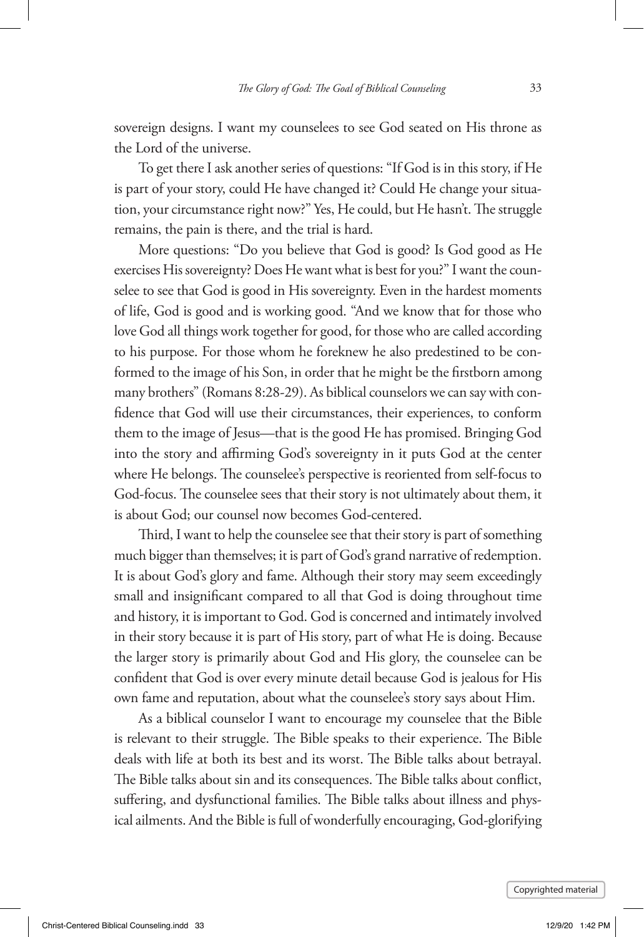sovereign designs. I want my counselees to see God seated on His throne as the Lord of the universe.

To get there I ask another series of questions: "If God is in this story, if He is part of your story, could He have changed it? Could He change your situation, your circumstance right now?" Yes, He could, but He hasn't. The struggle remains, the pain is there, and the trial is hard.

More questions: "Do you believe that God is good? Is God good as He exercises His sovereignty? Does He want what is best for you?" I want the counselee to see that God is good in His sovereignty. Even in the hardest moments of life, God is good and is working good. "And we know that for those who love God all things work together for good, for those who are called according to his purpose. For those whom he foreknew he also predestined to be conformed to the image of his Son, in order that he might be the firstborn among many brothers" (Romans 8:28-29). As biblical counselors we can say with confidence that God will use their circumstances, their experiences, to conform them to the image of Jesus—that is the good He has promised. Bringing God into the story and affirming God's sovereignty in it puts God at the center where He belongs. The counselee's perspective is reoriented from self-focus to God-focus. The counselee sees that their story is not ultimately about them, it is about God; our counsel now becomes God-centered.

Third, I want to help the counselee see that their story is part of something much bigger than themselves; it is part of God's grand narrative of redemption. It is about God's glory and fame. Although their story may seem exceedingly small and insignificant compared to all that God is doing throughout time and history, it is important to God. God is concerned and intimately involved in their story because it is part of His story, part of what He is doing. Because the larger story is primarily about God and His glory, the counselee can be confident that God is over every minute detail because God is jealous for His own fame and reputation, about what the counselee's story says about Him.

As a biblical counselor I want to encourage my counselee that the Bible is relevant to their struggle. The Bible speaks to their experience. The Bible deals with life at both its best and its worst. The Bible talks about betrayal. The Bible talks about sin and its consequences. The Bible talks about conflict, suffering, and dysfunctional families. The Bible talks about illness and physical ailments. And the Bible is full of wonderfully encouraging, God-glorifying